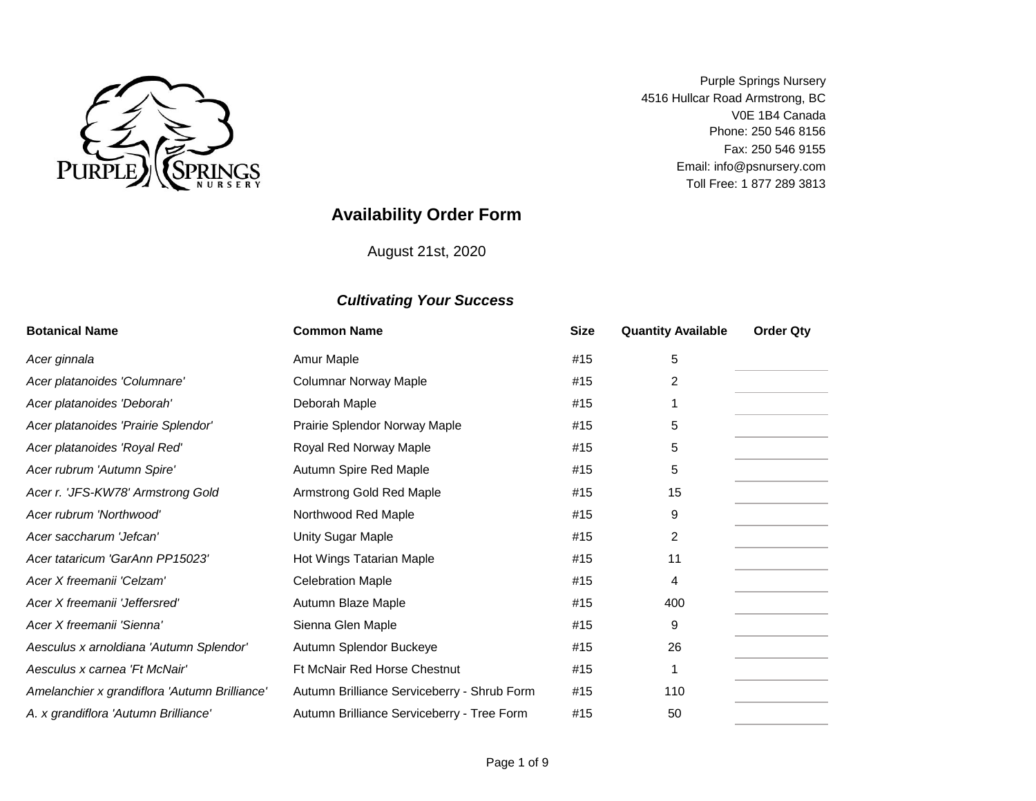

V0E 1B4 Canada Fax: 250 546 9155 Purple Springs Nursery 4516 Hullcar Road Armstrong, BC Toll Free: 1 877 289 3813 Phone: 250 546 8156 Email: info@psnursery.com

# **Availability Order Form**

August 21st, 2020

| <b>Botanical Name</b>                         | <b>Common Name</b>                          | <b>Size</b> | <b>Quantity Available</b> | <b>Order Qty</b> |
|-----------------------------------------------|---------------------------------------------|-------------|---------------------------|------------------|
| Acer ginnala                                  | Amur Maple                                  | #15         | 5                         |                  |
| Acer platanoides 'Columnare'                  | <b>Columnar Norway Maple</b>                | #15         | 2                         |                  |
| Acer platanoides 'Deborah'                    | Deborah Maple                               | #15         |                           |                  |
| Acer platanoides 'Prairie Splendor'           | Prairie Splendor Norway Maple               | #15         | 5                         |                  |
| Acer platanoides 'Royal Red'                  | Royal Red Norway Maple                      | #15         | 5                         |                  |
| Acer rubrum 'Autumn Spire'                    | Autumn Spire Red Maple                      | #15         | 5                         |                  |
| Acer r. 'JFS-KW78' Armstrong Gold             | Armstrong Gold Red Maple                    | #15         | 15                        |                  |
| Acer rubrum 'Northwood'                       | Northwood Red Maple                         | #15         | 9                         |                  |
| Acer saccharum 'Jefcan'                       | Unity Sugar Maple                           | #15         | $\overline{2}$            |                  |
| Acer tataricum 'GarAnn PP15023'               | Hot Wings Tatarian Maple                    | #15         | 11                        |                  |
| Acer X freemanii 'Celzam'                     | <b>Celebration Maple</b>                    | #15         | 4                         |                  |
| Acer X freemanii 'Jeffersred'                 | Autumn Blaze Maple                          | #15         | 400                       |                  |
| Acer X freemanii 'Sienna'                     | Sienna Glen Maple                           | #15         | 9                         |                  |
| Aesculus x arnoldiana 'Autumn Splendor'       | Autumn Splendor Buckeye                     | #15         | 26                        |                  |
| Aesculus x carnea 'Ft McNair'                 | Ft McNair Red Horse Chestnut                | #15         |                           |                  |
| Amelanchier x grandiflora 'Autumn Brilliance' | Autumn Brilliance Serviceberry - Shrub Form | #15         | 110                       |                  |
| A. x grandiflora 'Autumn Brilliance'          | Autumn Brilliance Serviceberry - Tree Form  | #15         | 50                        |                  |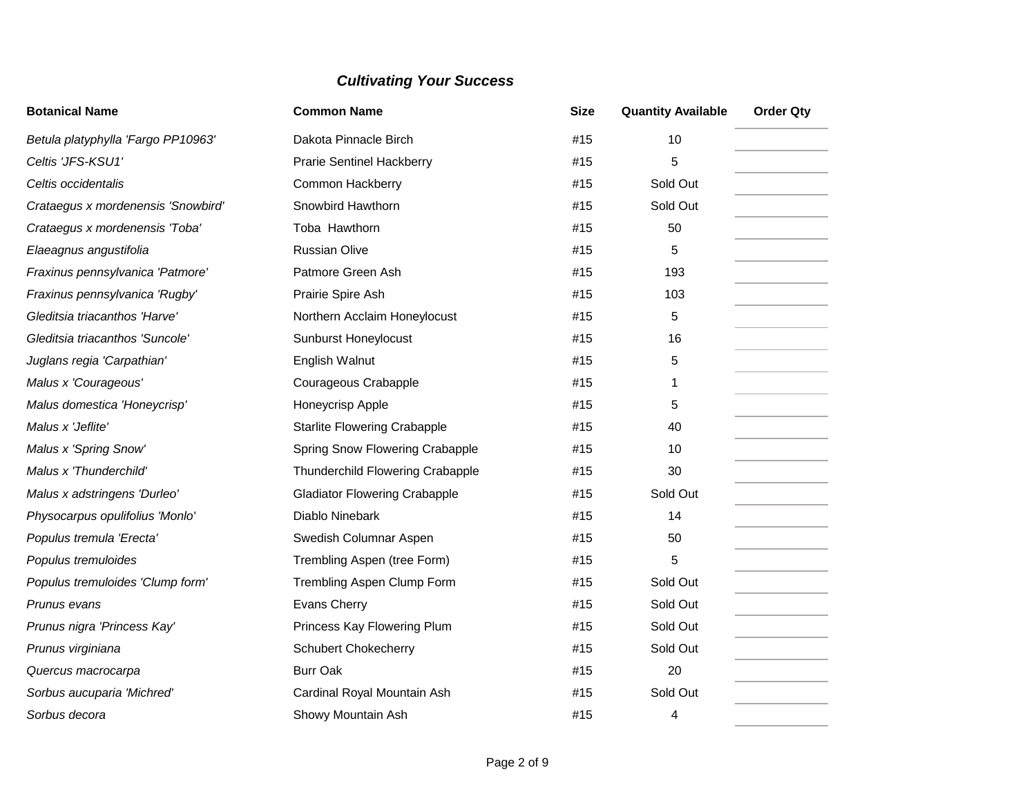| <b>Botanical Name</b>              | <b>Common Name</b>                   | <b>Size</b> | <b>Quantity Available</b> | <b>Order Qty</b> |
|------------------------------------|--------------------------------------|-------------|---------------------------|------------------|
| Betula platyphylla 'Fargo PP10963' | Dakota Pinnacle Birch                | #15         | 10                        |                  |
| Celtis 'JFS-KSU1'                  | <b>Prarie Sentinel Hackberry</b>     | #15         | 5                         |                  |
| Celtis occidentalis                | Common Hackberry                     | #15         | Sold Out                  |                  |
| Crataegus x mordenensis 'Snowbird' | Snowbird Hawthorn                    | #15         | Sold Out                  |                  |
| Crataegus x mordenensis 'Toba'     | Toba Hawthorn                        | #15         | 50                        |                  |
| Elaeagnus angustifolia             | <b>Russian Olive</b>                 | #15         | 5                         |                  |
| Fraxinus pennsylvanica 'Patmore'   | Patmore Green Ash                    | #15         | 193                       |                  |
| Fraxinus pennsylvanica 'Rugby'     | Prairie Spire Ash                    | #15         | 103                       |                  |
| Gleditsia triacanthos 'Harve'      | Northern Acclaim Honeylocust         | #15         | 5                         |                  |
| Gleditsia triacanthos 'Suncole'    | Sunburst Honeylocust                 | #15         | 16                        |                  |
| Juglans regia 'Carpathian'         | English Walnut                       | #15         | 5                         |                  |
| Malus x 'Courageous'               | Courageous Crabapple                 | #15         | 1                         |                  |
| Malus domestica 'Honeycrisp'       | Honeycrisp Apple                     | #15         | 5                         |                  |
| Malus x 'Jeflite'                  | <b>Starlite Flowering Crabapple</b>  | #15         | 40                        |                  |
| Malus x 'Spring Snow'              | Spring Snow Flowering Crabapple      | #15         | 10                        |                  |
| Malus x 'Thunderchild'             | Thunderchild Flowering Crabapple     | #15         | 30                        |                  |
| Malus x adstringens 'Durleo'       | <b>Gladiator Flowering Crabapple</b> | #15         | Sold Out                  |                  |
| Physocarpus opulifolius 'Monlo'    | Diablo Ninebark                      | #15         | 14                        |                  |
| Populus tremula 'Erecta'           | Swedish Columnar Aspen               | #15         | 50                        |                  |
| Populus tremuloides                | Trembling Aspen (tree Form)          | #15         | 5                         |                  |
| Populus tremuloides 'Clump form'   | Trembling Aspen Clump Form           | #15         | Sold Out                  |                  |
| Prunus evans                       | Evans Cherry                         | #15         | Sold Out                  |                  |
| Prunus nigra 'Princess Kay'        | Princess Kay Flowering Plum          | #15         | Sold Out                  |                  |
| Prunus virginiana                  | <b>Schubert Chokecherry</b>          | #15         | Sold Out                  |                  |
| Quercus macrocarpa                 | <b>Burr Oak</b>                      | #15         | 20                        |                  |
| Sorbus aucuparia 'Michred'         | Cardinal Royal Mountain Ash          | #15         | Sold Out                  |                  |
| Sorbus decora                      | Showy Mountain Ash                   | #15         | 4                         |                  |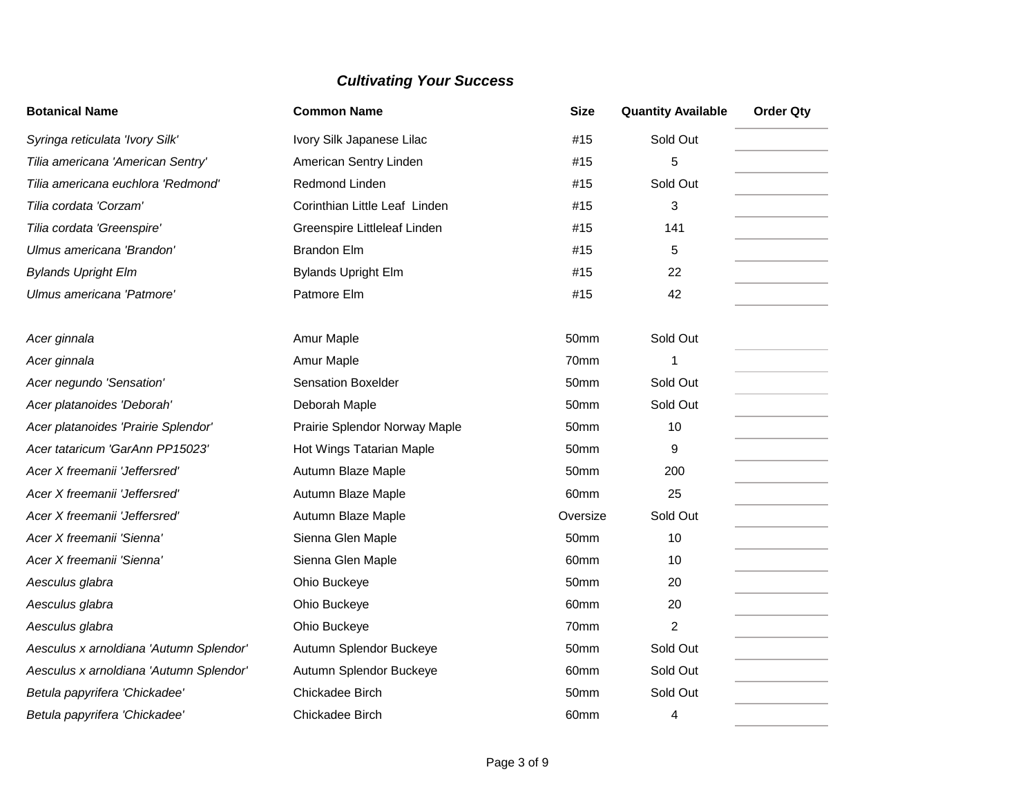| <b>Botanical Name</b>                   | <b>Common Name</b>            | <b>Size</b> | <b>Quantity Available</b> | <b>Order Qty</b> |
|-----------------------------------------|-------------------------------|-------------|---------------------------|------------------|
| Syringa reticulata 'Ivory Silk'         | Ivory Silk Japanese Lilac     | #15         | Sold Out                  |                  |
| Tilia americana 'American Sentry'       | American Sentry Linden        | #15         | 5                         |                  |
| Tilia americana euchlora 'Redmond'      | Redmond Linden                | #15         | Sold Out                  |                  |
| Tilia cordata 'Corzam'                  | Corinthian Little Leaf Linden | #15         | 3                         |                  |
| Tilia cordata 'Greenspire'              | Greenspire Littleleaf Linden  | #15         | 141                       |                  |
| Ulmus americana 'Brandon'               | <b>Brandon Elm</b>            | #15         | 5                         |                  |
| <b>Bylands Upright Elm</b>              | <b>Bylands Upright Elm</b>    | #15         | 22                        |                  |
| Ulmus americana 'Patmore'               | Patmore Elm                   | #15         | 42                        |                  |
| Acer ginnala                            | Amur Maple                    | 50mm        | Sold Out                  |                  |
| Acer ginnala                            | Amur Maple                    | 70mm        | 1                         |                  |
| Acer negundo 'Sensation'                | <b>Sensation Boxelder</b>     | 50mm        | Sold Out                  |                  |
| Acer platanoides 'Deborah'              | Deborah Maple                 | 50mm        | Sold Out                  |                  |
| Acer platanoides 'Prairie Splendor'     | Prairie Splendor Norway Maple | 50mm        | 10                        |                  |
| Acer tataricum 'GarAnn PP15023'         | Hot Wings Tatarian Maple      | 50mm        | 9                         |                  |
| Acer X freemanii 'Jeffersred'           | Autumn Blaze Maple            | 50mm        | 200                       |                  |
| Acer X freemanii 'Jeffersred'           | Autumn Blaze Maple            | 60mm        | 25                        |                  |
| Acer X freemanii 'Jeffersred'           | Autumn Blaze Maple            | Oversize    | Sold Out                  |                  |
| Acer X freemanii 'Sienna'               | Sienna Glen Maple             | 50mm        | 10                        |                  |
| Acer X freemanii 'Sienna'               | Sienna Glen Maple             | 60mm        | 10                        |                  |
| Aesculus glabra                         | Ohio Buckeye                  | 50mm        | 20                        |                  |
| Aesculus glabra                         | Ohio Buckeye                  | 60mm        | 20                        |                  |
| Aesculus glabra                         | Ohio Buckeye                  | 70mm        | 2                         |                  |
| Aesculus x arnoldiana 'Autumn Splendor' | Autumn Splendor Buckeye       | 50mm        | Sold Out                  |                  |
| Aesculus x arnoldiana 'Autumn Splendor' | Autumn Splendor Buckeye       | 60mm        | Sold Out                  |                  |
| Betula papyrifera 'Chickadee'           | Chickadee Birch               | 50mm        | Sold Out                  |                  |
| Betula papyrifera 'Chickadee'           | Chickadee Birch               | 60mm        | 4                         |                  |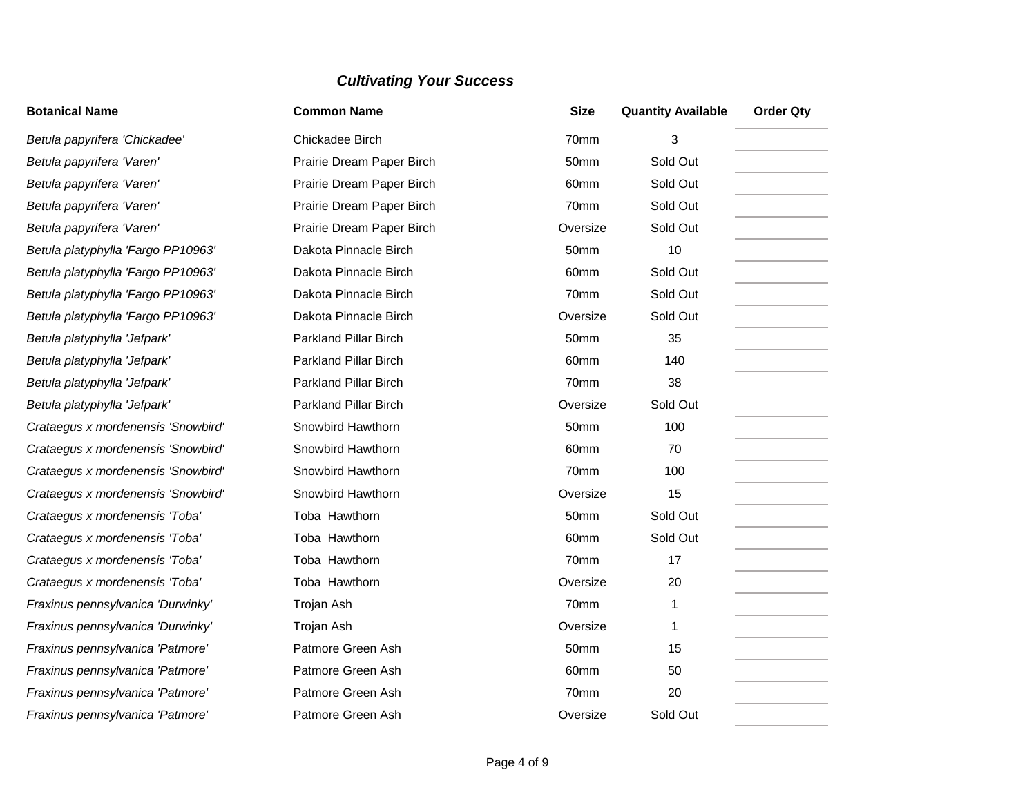| <b>Botanical Name</b>              | <b>Common Name</b>           | <b>Size</b> | <b>Quantity Available</b> | <b>Order Qty</b> |
|------------------------------------|------------------------------|-------------|---------------------------|------------------|
| Betula papyrifera 'Chickadee'      | Chickadee Birch              | 70mm        | 3                         |                  |
| Betula papyrifera 'Varen'          | Prairie Dream Paper Birch    | 50mm        | Sold Out                  |                  |
| Betula papyrifera 'Varen'          | Prairie Dream Paper Birch    | 60mm        | Sold Out                  |                  |
| Betula papyrifera 'Varen'          | Prairie Dream Paper Birch    | 70mm        | Sold Out                  |                  |
| Betula papyrifera 'Varen'          | Prairie Dream Paper Birch    | Oversize    | Sold Out                  |                  |
| Betula platyphylla 'Fargo PP10963' | Dakota Pinnacle Birch        | 50mm        | 10                        |                  |
| Betula platyphylla 'Fargo PP10963' | Dakota Pinnacle Birch        | 60mm        | Sold Out                  |                  |
| Betula platyphylla 'Fargo PP10963' | Dakota Pinnacle Birch        | 70mm        | Sold Out                  |                  |
| Betula platyphylla 'Fargo PP10963' | Dakota Pinnacle Birch        | Oversize    | Sold Out                  |                  |
| Betula platyphylla 'Jefpark'       | Parkland Pillar Birch        | 50mm        | 35                        |                  |
| Betula platyphylla 'Jefpark'       | Parkland Pillar Birch        | 60mm        | 140                       |                  |
| Betula platyphylla 'Jefpark'       | <b>Parkland Pillar Birch</b> | 70mm        | 38                        |                  |
| Betula platyphylla 'Jefpark'       | <b>Parkland Pillar Birch</b> | Oversize    | Sold Out                  |                  |
| Crataegus x mordenensis 'Snowbird' | Snowbird Hawthorn            | 50mm        | 100                       |                  |
| Crataegus x mordenensis 'Snowbird' | Snowbird Hawthorn            | 60mm        | 70                        |                  |
| Crataegus x mordenensis 'Snowbird' | Snowbird Hawthorn            | 70mm        | 100                       |                  |
| Crataegus x mordenensis 'Snowbird' | Snowbird Hawthorn            | Oversize    | 15                        |                  |
| Crataegus x mordenensis 'Toba'     | Toba Hawthorn                | 50mm        | Sold Out                  |                  |
| Crataegus x mordenensis 'Toba'     | Toba Hawthorn                | 60mm        | Sold Out                  |                  |
| Crataegus x mordenensis 'Toba'     | Toba Hawthorn                | 70mm        | 17                        |                  |
| Crataegus x mordenensis 'Toba'     | Toba Hawthorn                | Oversize    | 20                        |                  |
| Fraxinus pennsylvanica 'Durwinky'  | Trojan Ash                   | 70mm        | 1                         |                  |
| Fraxinus pennsylvanica 'Durwinky'  | Trojan Ash                   | Oversize    | 1                         |                  |
| Fraxinus pennsylvanica 'Patmore'   | Patmore Green Ash            | 50mm        | 15                        |                  |
| Fraxinus pennsylvanica 'Patmore'   | Patmore Green Ash            | 60mm        | 50                        |                  |
| Fraxinus pennsylvanica 'Patmore'   | Patmore Green Ash            | 70mm        | 20                        |                  |
| Fraxinus pennsylvanica 'Patmore'   | Patmore Green Ash            | Oversize    | Sold Out                  |                  |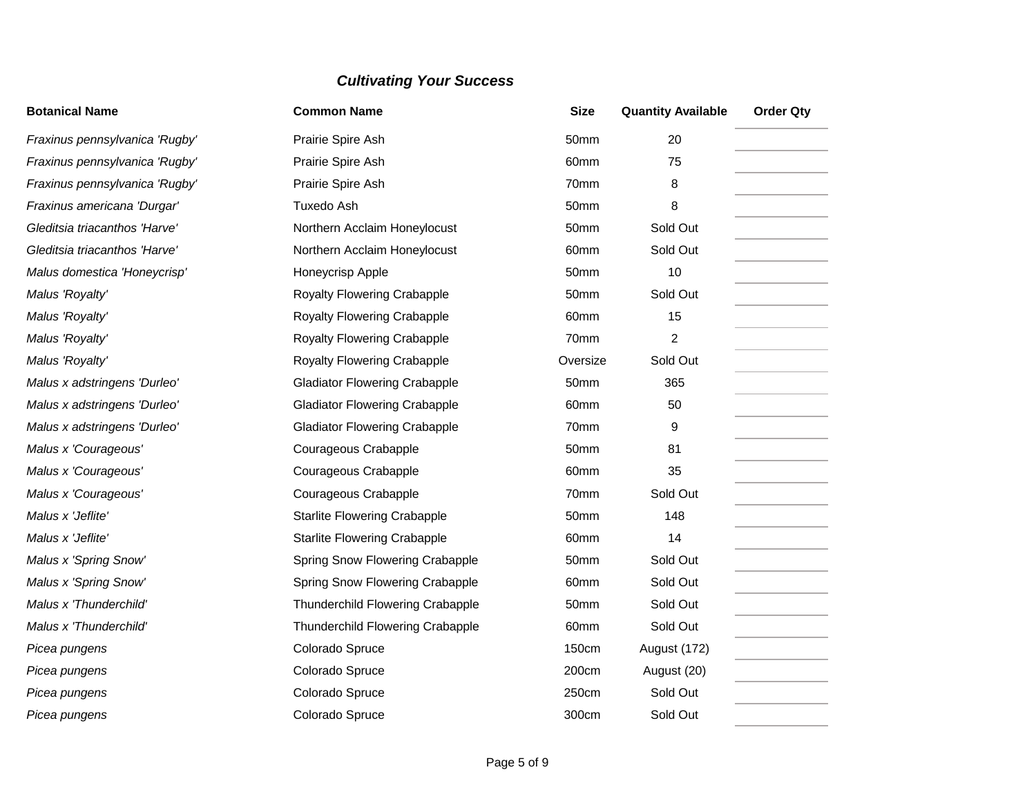| <b>Botanical Name</b>          | <b>Common Name</b>                   | <b>Size</b>      | <b>Quantity Available</b> | <b>Order Qty</b> |
|--------------------------------|--------------------------------------|------------------|---------------------------|------------------|
| Fraxinus pennsylvanica 'Rugby' | Prairie Spire Ash                    | 50mm             | 20                        |                  |
| Fraxinus pennsylvanica 'Rugby' | Prairie Spire Ash                    | 60mm             | 75                        |                  |
| Fraxinus pennsylvanica 'Rugby' | Prairie Spire Ash                    | 70mm             | 8                         |                  |
| Fraxinus americana 'Durgar'    | Tuxedo Ash                           | 50mm             | 8                         |                  |
| Gleditsia triacanthos 'Harve'  | Northern Acclaim Honeylocust         | 50mm             | Sold Out                  |                  |
| Gleditsia triacanthos 'Harve'  | Northern Acclaim Honeylocust         | 60mm             | Sold Out                  |                  |
| Malus domestica 'Honeycrisp'   | Honeycrisp Apple                     | 50mm             | 10                        |                  |
| Malus 'Royalty'                | Royalty Flowering Crabapple          | 50mm             | Sold Out                  |                  |
| Malus 'Royalty'                | <b>Royalty Flowering Crabapple</b>   | 60mm             | 15                        |                  |
| Malus 'Royalty'                | <b>Royalty Flowering Crabapple</b>   | 70mm             | $\overline{2}$            |                  |
| Malus 'Royalty'                | <b>Royalty Flowering Crabapple</b>   | Oversize         | Sold Out                  |                  |
| Malus x adstringens 'Durleo'   | <b>Gladiator Flowering Crabapple</b> | 50mm             | 365                       |                  |
| Malus x adstringens 'Durleo'   | <b>Gladiator Flowering Crabapple</b> | 60mm             | 50                        |                  |
| Malus x adstringens 'Durleo'   | <b>Gladiator Flowering Crabapple</b> | 70mm             | 9                         |                  |
| Malus x 'Courageous'           | Courageous Crabapple                 | 50mm             | 81                        |                  |
| Malus x 'Courageous'           | Courageous Crabapple                 | 60mm             | 35                        |                  |
| Malus x 'Courageous'           | Courageous Crabapple                 | 70mm             | Sold Out                  |                  |
| Malus x 'Jeflite'              | <b>Starlite Flowering Crabapple</b>  | 50mm             | 148                       |                  |
| Malus x 'Jeflite'              | <b>Starlite Flowering Crabapple</b>  | 60 <sub>mm</sub> | 14                        |                  |
| Malus x 'Spring Snow'          | Spring Snow Flowering Crabapple      | 50mm             | Sold Out                  |                  |
| Malus x 'Spring Snow'          | Spring Snow Flowering Crabapple      | 60mm             | Sold Out                  |                  |
| Malus x 'Thunderchild'         | Thunderchild Flowering Crabapple     | 50mm             | Sold Out                  |                  |
| Malus x 'Thunderchild'         | Thunderchild Flowering Crabapple     | 60mm             | Sold Out                  |                  |
| Picea pungens                  | Colorado Spruce                      | 150cm            | August (172)              |                  |
| Picea pungens                  | Colorado Spruce                      | 200cm            | August (20)               |                  |
| Picea pungens                  | Colorado Spruce                      | 250cm            | Sold Out                  |                  |
| Picea pungens                  | Colorado Spruce                      | 300cm            | Sold Out                  |                  |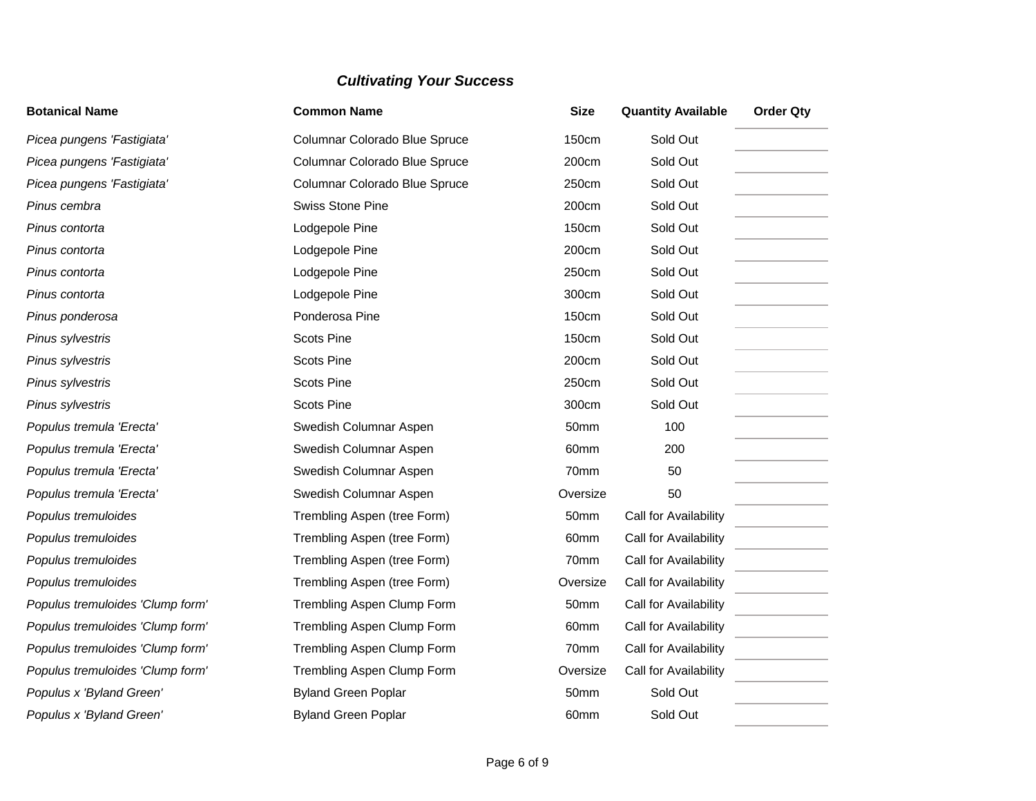| <b>Botanical Name</b>            | <b>Common Name</b>            | <b>Size</b>      | <b>Quantity Available</b> | <b>Order Qty</b> |
|----------------------------------|-------------------------------|------------------|---------------------------|------------------|
| Picea pungens 'Fastigiata'       | Columnar Colorado Blue Spruce | <b>150cm</b>     | Sold Out                  |                  |
| Picea pungens 'Fastigiata'       | Columnar Colorado Blue Spruce | 200cm            | Sold Out                  |                  |
| Picea pungens 'Fastigiata'       | Columnar Colorado Blue Spruce | 250cm            | Sold Out                  |                  |
| Pinus cembra                     | <b>Swiss Stone Pine</b>       | 200cm            | Sold Out                  |                  |
| Pinus contorta                   | Lodgepole Pine                | 150cm            | Sold Out                  |                  |
| Pinus contorta                   | Lodgepole Pine                | 200cm            | Sold Out                  |                  |
| Pinus contorta                   | Lodgepole Pine                | 250cm            | Sold Out                  |                  |
| Pinus contorta                   | Lodgepole Pine                | 300cm            | Sold Out                  |                  |
| Pinus ponderosa                  | Ponderosa Pine                | 150cm            | Sold Out                  |                  |
| Pinus sylvestris                 | <b>Scots Pine</b>             | <b>150cm</b>     | Sold Out                  |                  |
| Pinus sylvestris                 | <b>Scots Pine</b>             | 200cm            | Sold Out                  |                  |
| Pinus sylvestris                 | <b>Scots Pine</b>             | 250cm            | Sold Out                  |                  |
| Pinus sylvestris                 | <b>Scots Pine</b>             | 300cm            | Sold Out                  |                  |
| Populus tremula 'Erecta'         | Swedish Columnar Aspen        | 50mm             | 100                       |                  |
| Populus tremula 'Erecta'         | Swedish Columnar Aspen        | 60mm             | 200                       |                  |
| Populus tremula 'Erecta'         | Swedish Columnar Aspen        | 70mm             | 50                        |                  |
| Populus tremula 'Erecta'         | Swedish Columnar Aspen        | Oversize         | 50                        |                  |
| Populus tremuloides              | Trembling Aspen (tree Form)   | 50mm             | Call for Availability     |                  |
| Populus tremuloides              | Trembling Aspen (tree Form)   | 60mm             | Call for Availability     |                  |
| Populus tremuloides              | Trembling Aspen (tree Form)   | 70mm             | Call for Availability     |                  |
| Populus tremuloides              | Trembling Aspen (tree Form)   | Oversize         | Call for Availability     |                  |
| Populus tremuloides 'Clump form' | Trembling Aspen Clump Form    | 50mm             | Call for Availability     |                  |
| Populus tremuloides 'Clump form' | Trembling Aspen Clump Form    | 60mm             | Call for Availability     |                  |
| Populus tremuloides 'Clump form' | Trembling Aspen Clump Form    | 70mm             | Call for Availability     |                  |
| Populus tremuloides 'Clump form' | Trembling Aspen Clump Form    | Oversize         | Call for Availability     |                  |
| Populus x 'Byland Green'         | <b>Byland Green Poplar</b>    | 50mm             | Sold Out                  |                  |
| Populus x 'Byland Green'         | <b>Byland Green Poplar</b>    | 60 <sub>mm</sub> | Sold Out                  |                  |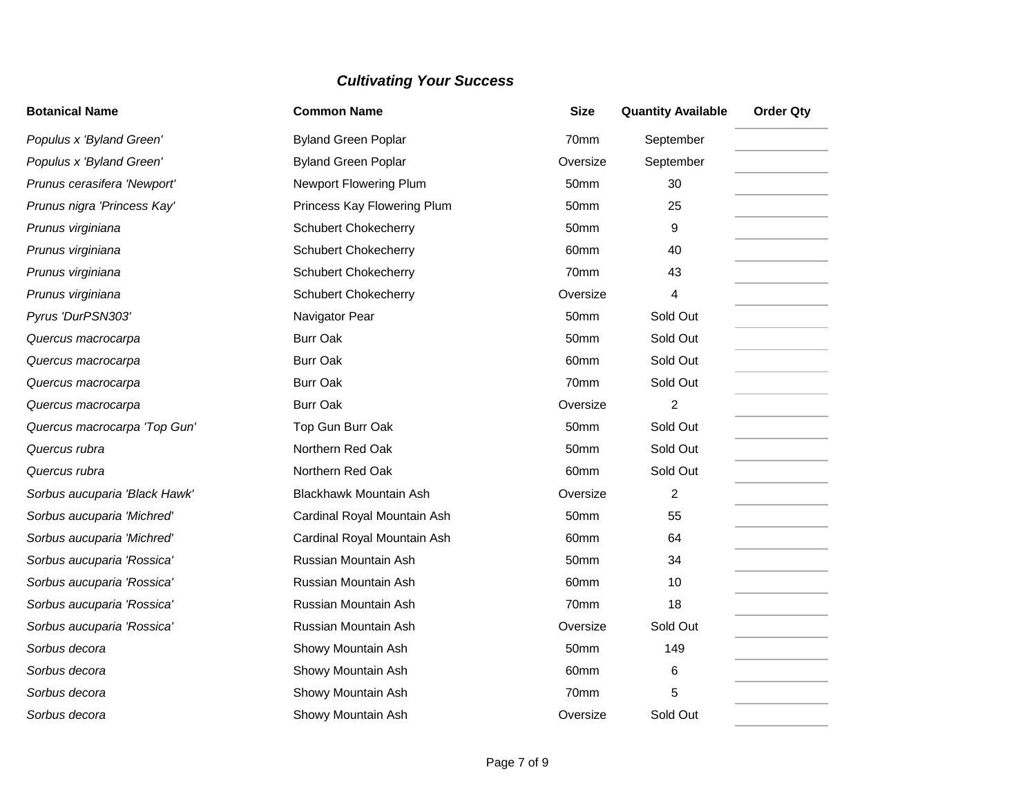| <b>Botanical Name</b>         | <b>Common Name</b>            | <b>Size</b>      | <b>Quantity Available</b> | <b>Order Qty</b> |
|-------------------------------|-------------------------------|------------------|---------------------------|------------------|
| Populus x 'Byland Green'      | <b>Byland Green Poplar</b>    | 70mm             | September                 |                  |
| Populus x 'Byland Green'      | <b>Byland Green Poplar</b>    | Oversize         | September                 |                  |
| Prunus cerasifera 'Newport'   | Newport Flowering Plum        | 50mm             | 30                        |                  |
| Prunus nigra 'Princess Kay'   | Princess Kay Flowering Plum   | 50mm             | 25                        |                  |
| Prunus virginiana             | <b>Schubert Chokecherry</b>   | 50mm             | 9                         |                  |
| Prunus virginiana             | <b>Schubert Chokecherry</b>   | 60mm             | 40                        |                  |
| Prunus virginiana             | <b>Schubert Chokecherry</b>   | 70mm             | 43                        |                  |
| Prunus virginiana             | <b>Schubert Chokecherry</b>   | Oversize         | 4                         |                  |
| Pyrus 'DurPSN303'             | Navigator Pear                | 50mm             | Sold Out                  |                  |
| Quercus macrocarpa            | <b>Burr Oak</b>               | 50mm             | Sold Out                  |                  |
| Quercus macrocarpa            | <b>Burr Oak</b>               | 60 <sub>mm</sub> | Sold Out                  |                  |
| Quercus macrocarpa            | <b>Burr Oak</b>               | 70mm             | Sold Out                  |                  |
| Quercus macrocarpa            | <b>Burr Oak</b>               | Oversize         | 2                         |                  |
| Quercus macrocarpa 'Top Gun'  | Top Gun Burr Oak              | 50mm             | Sold Out                  |                  |
| Quercus rubra                 | Northern Red Oak              | 50mm             | Sold Out                  |                  |
| Quercus rubra                 | Northern Red Oak              | 60mm             | Sold Out                  |                  |
| Sorbus aucuparia 'Black Hawk' | <b>Blackhawk Mountain Ash</b> | Oversize         | 2                         |                  |
| Sorbus aucuparia 'Michred'    | Cardinal Royal Mountain Ash   | 50mm             | 55                        |                  |
| Sorbus aucuparia 'Michred'    | Cardinal Royal Mountain Ash   | 60mm             | 64                        |                  |
| Sorbus aucuparia 'Rossica'    | Russian Mountain Ash          | 50mm             | 34                        |                  |
| Sorbus aucuparia 'Rossica'    | Russian Mountain Ash          | 60mm             | 10                        |                  |
| Sorbus aucuparia 'Rossica'    | Russian Mountain Ash          | 70mm             | 18                        |                  |
| Sorbus aucuparia 'Rossica'    | Russian Mountain Ash          | Oversize         | Sold Out                  |                  |
| Sorbus decora                 | Showy Mountain Ash            | 50mm             | 149                       |                  |
| Sorbus decora                 | Showy Mountain Ash            | 60mm             | 6                         |                  |
| Sorbus decora                 | Showy Mountain Ash            | 70mm             | 5                         |                  |
| Sorbus decora                 | Showy Mountain Ash            | Oversize         | Sold Out                  |                  |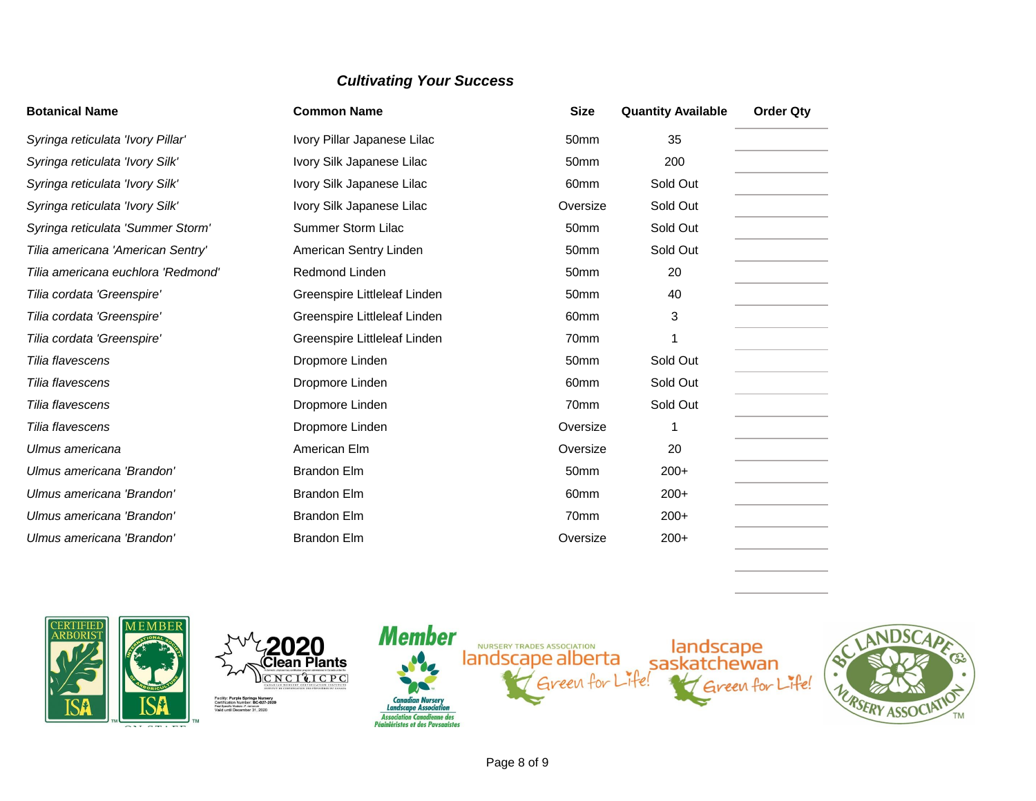| <b>Botanical Name</b>              | <b>Common Name</b>           | <b>Size</b>      | <b>Quantity Available</b> | <b>Order Qty</b> |
|------------------------------------|------------------------------|------------------|---------------------------|------------------|
| Syringa reticulata 'Ivory Pillar'  | Ivory Pillar Japanese Lilac  | 50mm             | 35                        |                  |
| Syringa reticulata 'Ivory Silk'    | Ivory Silk Japanese Lilac    | 50 <sub>mm</sub> | 200                       |                  |
| Syringa reticulata 'Ivory Silk'    | Ivory Silk Japanese Lilac    | 60 <sub>mm</sub> | Sold Out                  |                  |
| Syringa reticulata 'Ivory Silk'    | Ivory Silk Japanese Lilac    | Oversize         | Sold Out                  |                  |
| Syringa reticulata 'Summer Storm'  | Summer Storm Lilac           | 50mm             | Sold Out                  |                  |
| Tilia americana 'American Sentry'  | American Sentry Linden       | 50 <sub>mm</sub> | Sold Out                  |                  |
| Tilia americana euchlora 'Redmond' | Redmond Linden               | 50 <sub>mm</sub> | 20                        |                  |
| Tilia cordata 'Greenspire'         | Greenspire Littleleaf Linden | 50 <sub>mm</sub> | 40                        |                  |
| Tilia cordata 'Greenspire'         | Greenspire Littleleaf Linden | 60 <sub>mm</sub> | 3                         |                  |
| Tilia cordata 'Greenspire'         | Greenspire Littleleaf Linden | 70mm             |                           |                  |
| Tilia flavescens                   | Dropmore Linden              | 50 <sub>mm</sub> | Sold Out                  |                  |
| Tilia flavescens                   | Dropmore Linden              | 60 <sub>mm</sub> | Sold Out                  |                  |
| Tilia flavescens                   | Dropmore Linden              | 70mm             | Sold Out                  |                  |
| Tilia flavescens                   | Dropmore Linden              | Oversize         |                           |                  |
| Ulmus americana                    | American Elm                 | Oversize         | 20                        |                  |
| Ulmus americana 'Brandon'          | <b>Brandon Elm</b>           | 50 <sub>mm</sub> | $200+$                    |                  |
| Ulmus americana 'Brandon'          | <b>Brandon Elm</b>           | 60 <sub>mm</sub> | $200+$                    |                  |
| Ulmus americana 'Brandon'          | <b>Brandon Elm</b>           | 70mm             | $200+$                    |                  |
| Ulmus americana 'Brandon'          | <b>Brandon Elm</b>           | Oversize         | $200+$                    |                  |